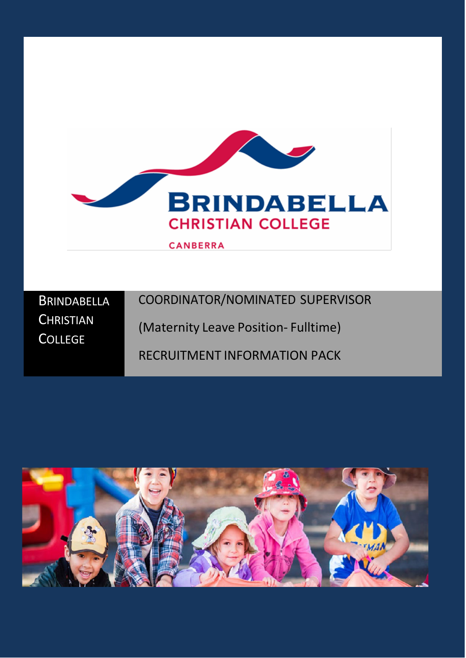

| BRINDABELLA      | COORDINATOR/NOMINATED SUPERVISOR       |
|------------------|----------------------------------------|
| <b>CHRISTIAN</b> | $(Matownitul)$ $(0,0)$ $(0,0)$ $(1,0)$ |

**COLLEGE** 

(Maternity Leave Position- Fulltime)

# RECRUITMENT INFORMATION PACK

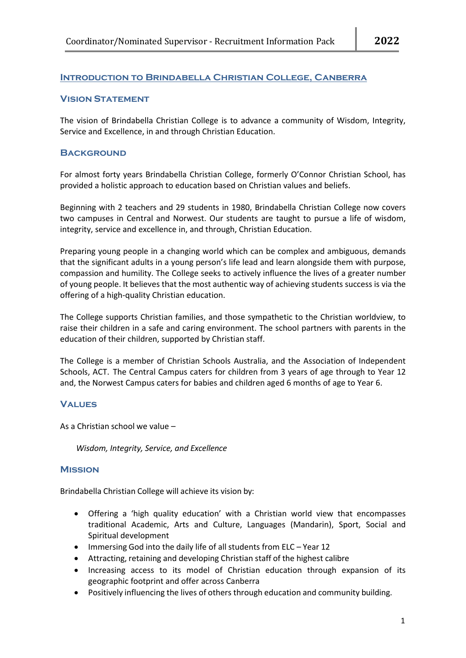## **Introduction to Brindabella Christian College, Canberra**

## **Vision Statement**

The vision of Brindabella Christian College is to advance a community of Wisdom, Integrity, Service and Excellence, in and through Christian Education.

## **BACKGROUND**

For almost forty years Brindabella Christian College, formerly O'Connor Christian School, has provided a holistic approach to education based on Christian values and beliefs.

Beginning with 2 teachers and 29 students in 1980, Brindabella Christian College now covers two campuses in Central and Norwest. Our students are taught to pursue a life of wisdom, integrity, service and excellence in, and through, Christian Education.

Preparing young people in a changing world which can be complex and ambiguous, demands that the significant adults in a young person's life lead and learn alongside them with purpose, compassion and humility. The College seeks to actively influence the lives of a greater number of young people. It believes that the most authentic way of achieving students success is via the offering of a high-quality Christian education.

The College supports Christian families, and those sympathetic to the Christian worldview, to raise their children in a safe and caring environment. The school partners with parents in the education of their children, supported by Christian staff.

The College is a member of Christian Schools Australia, and the Association of Independent Schools, ACT. The Central Campus caters for children from 3 years of age through to Year 12 and, the Norwest Campus caters for babies and children aged 6 months of age to Year 6.

## **Values**

As a Christian school we value –

*Wisdom, Integrity, Service, and Excellence*

## **Mission**

Brindabella Christian College will achieve its vision by:

- Offering a 'high quality education' with a Christian world view that encompasses traditional Academic, Arts and Culture, Languages (Mandarin), Sport, Social and Spiritual development
- Immersing God into the daily life of all students from ELC Year 12
- Attracting, retaining and developing Christian staff of the highest calibre
- Increasing access to its model of Christian education through expansion of its geographic footprint and offer across Canberra
- Positively influencing the lives of others through education and community building.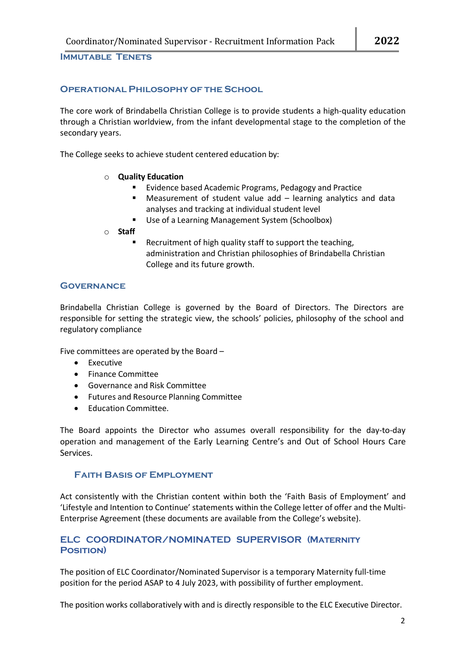**Immutable Tenets**

## **Operational Philosophy of the School**

The core work of Brindabella Christian College is to provide students a high-quality education through a Christian worldview, from the infant developmental stage to the completion of the secondary years.

The College seeks to achieve student centered education by:

- o **Quality Education**
	- Evidence based Academic Programs, Pedagogy and Practice
	- Measurement of student value add learning analytics and data analyses and tracking at individual student level
	- **Use of a Learning Management System (Schoolbox)**
- o **Staff**
	- Recruitment of high quality staff to support the teaching, administration and Christian philosophies of Brindabella Christian College and its future growth.

## **Governance**

Brindabella Christian College is governed by the Board of Directors. The Directors are responsible for setting the strategic view, the schools' policies, philosophy of the school and regulatory compliance

Five committees are operated by the Board –

- Executive
- Finance Committee
- Governance and Risk Committee
- Futures and Resource Planning Committee
- Education Committee.

The Board appoints the Director who assumes overall responsibility for the day-to-day operation and management of the Early Learning Centre's and Out of School Hours Care Services.

## **Faith Basis of Employment**

Act consistently with the Christian content within both the 'Faith Basis of Employment' and 'Lifestyle and Intention to Continue' statements within the College letter of offer and the Multi-Enterprise Agreement (these documents are available from the College's website).

# **ELC COORDINATOR/NOMINATED SUPERVISOR (Maternity Position)**

The position of ELC Coordinator/Nominated Supervisor is a temporary Maternity full-time position for the period ASAP to 4 July 2023, with possibility of further employment.

The position works collaboratively with and is directly responsible to the ELC Executive Director.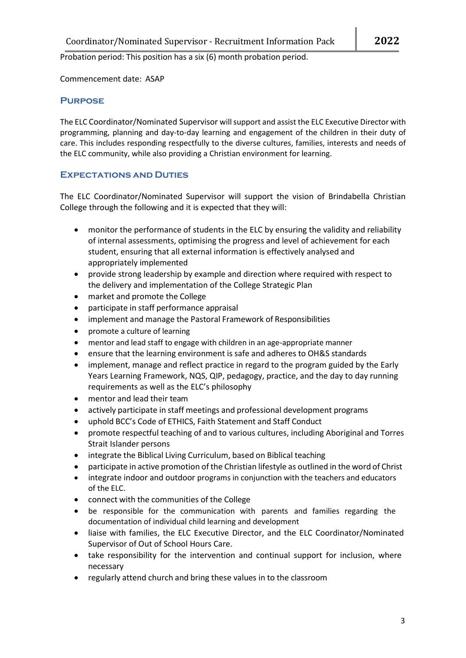Probation period: This position has a six (6) month probation period.

Commencement date: ASAP

## **Purpose**

The ELC Coordinator/Nominated Supervisor willsupport and assist the ELC Executive Director with programming, planning and day-to-day learning and engagement of the children in their duty of care. This includes responding respectfully to the diverse cultures, families, interests and needs of the ELC community, while also providing a Christian environment for learning.

## **Expectations and Duties**

The ELC Coordinator/Nominated Supervisor will support the vision of Brindabella Christian College through the following and it is expected that they will:

- monitor the performance of students in the ELC by ensuring the validity and reliability of internal assessments, optimising the progress and level of achievement for each student, ensuring that all external information is effectively analysed and appropriately implemented
- provide strong leadership by example and direction where required with respect to the delivery and implementation of the College Strategic Plan
- market and promote the College
- participate in staff performance appraisal
- implement and manage the Pastoral Framework of Responsibilities
- promote a culture of learning
- mentor and lead staff to engage with children in an age-appropriate manner
- ensure that the learning environment is safe and adheres to OH&S standards
- implement, manage and reflect practice in regard to the program guided by the Early Years Learning Framework, NQS, QIP, pedagogy, practice, and the day to day running requirements as well as the ELC's philosophy
- mentor and lead their team
- actively participate in staff meetings and professional development programs
- uphold BCC's Code of ETHICS, Faith Statement and Staff Conduct
- promote respectful teaching of and to various cultures, including Aboriginal and Torres Strait Islander persons
- integrate the Biblical Living Curriculum, based on Biblical teaching
- participate in active promotion of the Christian lifestyle as outlined in the word of Christ
- integrate indoor and outdoor programs in conjunction with the teachers and educators of the ELC.
- connect with the communities of the College
- be responsible for the communication with parents and families regarding the documentation of individual child learning and development
- liaise with families, the ELC Executive Director, and the ELC Coordinator/Nominated Supervisor of Out of School Hours Care.
- take responsibility for the intervention and continual support for inclusion, where necessary
- regularly attend church and bring these values in to the classroom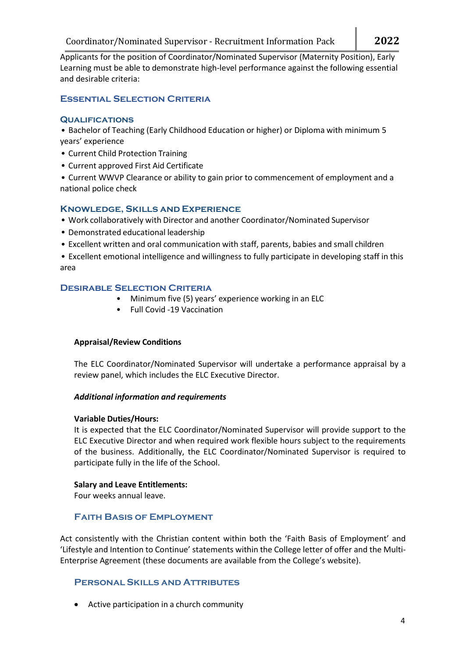Applicants for the position of Coordinator/Nominated Supervisor (Maternity Position), Early Learning must be able to demonstrate high-level performance against the following essential and desirable criteria:

# **Essential Selection Criteria**

## **Qualifications**

**•** Bachelor of Teaching (Early Childhood Education or higher) or Diploma with minimum 5 years' experience

- **•** Current Child Protection Training
- **•** Current approved First Aid Certificate

**•** Current WWVP Clearance or ability to gain prior to commencement of employment and a national police check

## **Knowledge, Skills and Experience**

- **•** Work collaboratively with Director and another Coordinator/Nominated Supervisor
- **•** Demonstrated educational leadership
- **•** Excellent written and oral communication with staff, parents, babies and small children

**•** Excellent emotional intelligence and willingness to fully participate in developing staff in this area

## **Desirable Selection Criteria**

- Minimum five (5) years' experience working in an ELC
- Full Covid -19 Vaccination

## **Appraisal/Review Conditions**

The ELC Coordinator/Nominated Supervisor will undertake a performance appraisal by a review panel, which includes the ELC Executive Director.

## *Additional information and requirements*

## **Variable Duties/Hours:**

It is expected that the ELC Coordinator/Nominated Supervisor will provide support to the ELC Executive Director and when required work flexible hours subject to the requirements of the business. Additionally, the ELC Coordinator/Nominated Supervisor is required to participate fully in the life of the School.

## **Salary and Leave Entitlements:**

Four weeks annual leave.

# **Faith Basis of Employment**

Act consistently with the Christian content within both the 'Faith Basis of Employment' and 'Lifestyle and Intention to Continue' statements within the College letter of offer and the Multi-Enterprise Agreement (these documents are available from the College's website).

## **Personal Skills and Attributes**

• Active participation in a church community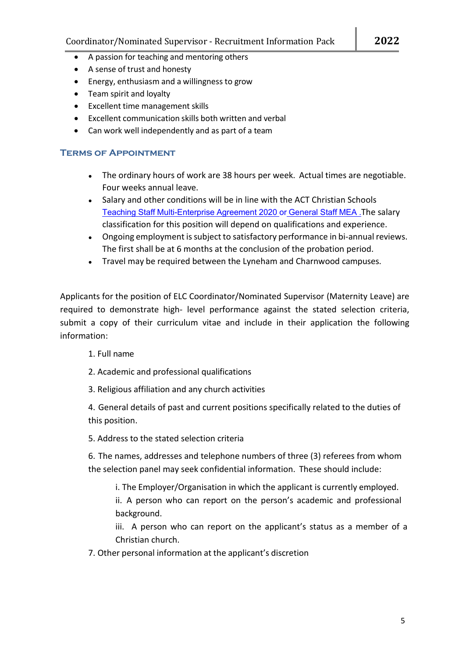- A passion for teaching and mentoring others
- A sense of trust and honesty
- Energy, enthusiasm and a willingness to grow
- Team spirit and loyalty
- Excellent time management skills
- Excellent communication skills both written and verbal
- Can work well independently and as part of a team

# **Terms of Appointment**

- The ordinary hours of work are 38 hours per week. Actual times are negotiable. Four weeks annual leave.
- Salary and other conditions will be in line with the ACT Christian Schools Teaching Staff [Multi-Enterprise](https://www.bcc.act.edu.au/__media_downloads/3246/ACT%20Christian%20Schools%20Teaching%20Satff%20MEA%202020.pdf?downloadable=1) Agreement 2020 or [General](https://www.bcc.act.edu.au/__media_downloads/3245/ACT_CS_General_MEA_2018-2021.pdf?downloadable=1) Staff MEA .The salary classification for this position will depend on qualifications and experience.
- Ongoing employment is subject to satisfactory performance in bi-annual reviews. The first shall be at 6 months at the conclusion of the probation period.
- Travel may be required between the Lyneham and Charnwood campuses.

Applicants for the position of ELC Coordinator/Nominated Supervisor (Maternity Leave) are required to demonstrate high- level performance against the stated selection criteria, submit a copy of their curriculum vitae and include in their application the following information:

- 1. Full name
- 2. Academic and professional qualifications
- 3. Religious affiliation and any church activities

4. General details of past and current positions specifically related to the duties of this position.

5. Address to the stated selection criteria

6. The names, addresses and telephone numbers of three (3) referees from whom the selection panel may seek confidential information. These should include:

i. The Employer/Organisation in which the applicant is currently employed.

ii. A person who can report on the person's academic and professional background.

iii. A person who can report on the applicant's status as a member of a Christian church.

7. Other personal information at the applicant's discretion